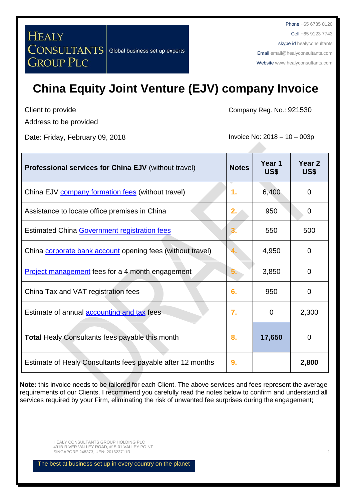Phone +65 6735 0120 Cell +65 9123 7743 skype id healyconsultants Email [email@healyconsultants.com](mailto:EMAIL@HEALYCONSULTANTS.COM) Website [www.healyconsultants.com](http://www.healyconsultants.com/)

# **China Equity Joint Venture (EJV) company Invoice**

Client to provide Address to be provided

Date: Friday, February 09, 2018 **Invoice No: 2018** - 10 – 003p

Company Reg. No.: 921530

| Professional services for China EJV (without travel)       | <b>Notes</b> | Year 1<br>US\$ | Year 2<br>US\$ |
|------------------------------------------------------------|--------------|----------------|----------------|
| China EJV company formation fees (without travel)          | 1.           | 6,400          | $\Omega$       |
| Assistance to locate office premises in China              | 2.7          | 950            | $\Omega$       |
| <b>Estimated China Government registration fees</b>        |              | 550            | 500            |
| China corporate bank account opening fees (without travel) | 4.           | 4,950          | $\Omega$       |
| <b>Project management</b> fees for a 4 month engagement    | 5.           | 3,850          | $\Omega$       |
| China Tax and VAT registration fees                        | 6.           | 950            | $\Omega$       |
| Estimate of annual <b>accounting and tax</b> fees          | 7.           | 0              | 2,300          |
| <b>Total Healy Consultants fees payable this month</b>     | 8.           | 17,650         | $\Omega$       |
| Estimate of Healy Consultants fees payable after 12 months | 9.           |                | 2,800          |

**Note:** this invoice needs to be tailored for each Client. The above services and fees represent the average requirements of our Clients. I recommend you carefully read the notes below to confirm and understand all services required by your Firm, eliminating the risk of unwanted fee surprises during the engagement;

> HEALY CONSULTANTS GROUP HOLDING PLC 491B RIVER VALLEY ROAD, #15-01 VALLEY POINT SINGAPORE 248373, UEN: 201623711R 1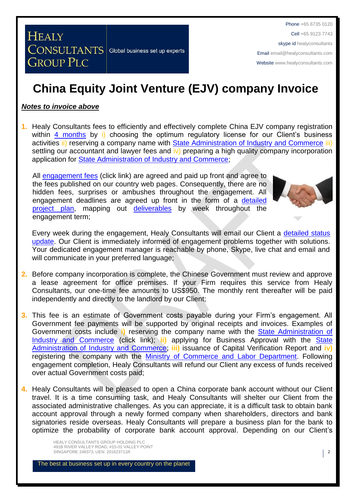Phone +65 6735 0120 Cell +65 9123 7743 skype id healyconsultants Email [email@healyconsultants.com](mailto:EMAIL@HEALYCONSULTANTS.COM) Website [www.healyconsultants.com](http://www.healyconsultants.com/)

## **China Equity Joint Venture (EJV) company Invoice**

#### *Notes to invoice above*

**1.** Healy Consultants fees to efficiently and effectively complete China EJV company registration within [4 months](http://www.healyconsultants.com/china-company-registration/fees-timelines/#timelines) by i) choosing the optimum regulatory license for our Client's business activities ii) reserving a company name with [State Administration of Industry and Commerce](http://www.saic.gov.cn/english/) iii) settling our accountant and lawyer fees and iv) preparing a high quality company incorporation application for [State Administration of Industry and Commerce;](http://www.saic.gov.cn/english/)

All [engagement fees](http://www.healyconsultants.com/company-registration-fees/) (click link) are agreed and paid up front and agree to the fees published on our country web pages. Consequently, there are no hidden fees, surprises or ambushes throughout the engagement. All engagement deadlines are agreed up front in the form of a [detailed](http://www.healyconsultants.com/index-important-links/example-project-plan/)  [project plan,](http://www.healyconsultants.com/index-important-links/example-project-plan/) mapping out [deliverables](http://www.healyconsultants.com/deliverables-to-our-clients/) by week throughout the engagement term;



Every week during the engagement, Healy Consultants will email our Client a [detailed status](http://www.healyconsultants.com/index-important-links/weekly-engagement-status-email/)  [update.](http://www.healyconsultants.com/index-important-links/weekly-engagement-status-email/) Our Client is immediately informed of engagement problems together with solutions. Your dedicated engagement manager is reachable by phone, Skype, live chat and email and will communicate in your preferred language;

- **2.** Before company incorporation is complete, the Chinese Government must review and approve a lease agreement for office premises. If your Firm requires this service from Healy Consultants, our one-time fee amounts to US\$950. The monthly rent thereafter will be paid independently and directly to the landlord by our Client;
- **3.** This fee is an estimate of Government costs payable during your Firm's engagement. All Government fee payments will be supported by original receipts and invoices. Examples of Government costs include **i)** reserving the company name with the [State Administration of](http://www.saic.gov.cn/english/)  [Industry and Commerce](http://www.saic.gov.cn/english/) (click link); ii) applying for Business Approval with the State [Administration of Industry and Commerce;](http://www.saic.gov.cn/english/) **iii)** issuance of Capital Verification Report and **iv)** registering the company with the [Ministry of Commerce and Labor Department.](http://english.mofcom.gov.cn/aarticle/policyrelease/internationalpolicy/200703/20070304475283.html) Following engagement completion, Healy Consultants will refund our Client any excess of funds received over actual Government costs paid;
- **4.** Healy Consultants will be pleased to open a China corporate bank account without our Client travel. It is a time consuming task, and Healy Consultants will shelter our Client from the associated administrative challenges. As you can appreciate, it is a difficult task to obtain bank account approval through a newly formed company when shareholders, directors and bank signatories reside overseas. Healy Consultants will prepare a business plan for the bank to optimize the probability of corporate bank account approval. Depending on our Client's

HEALY CONSULTANTS GROUP HOLDING PLC 491B RIVER VALLEY ROAD, #15-01 VALLEY POINT SINGAPORE 248373, UEN: 201623711R 2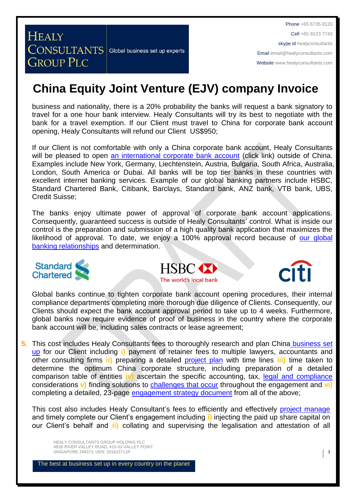Phone +65 6735 0120 Cell +65 9123 7743 skype id healyconsultants Email [email@healyconsultants.com](mailto:EMAIL@HEALYCONSULTANTS.COM) Website [www.healyconsultants.com](http://www.healyconsultants.com/)

## **China Equity Joint Venture (EJV) company Invoice**

business and nationality, there is a 20% probability the banks will request a bank signatory to travel for a one hour bank interview. Healy Consultants will try its best to negotiate with the bank for a travel exemption. If our Client must travel to China for corporate bank account opening, Healy Consultants will refund our Client US\$950;

If our Client is not comfortable with only a China corporate bank account, Healy Consultants will be pleased to open [an international corporate bank account](http://www.healyconsultants.com/international-banking/) (click link) outside of China. Examples include New York, Germany, Liechtenstein, Austria, Bulgaria, South Africa, Australia, London, South America or Dubai. All banks will be top tier banks in these countries with excellent internet banking services. Example of our global banking partners include HSBC, Standard Chartered Bank, Citibank, Barclays, Standard bank, ANZ bank, VTB bank, UBS, Credit Suisse;

The banks enjoy ultimate power of approval of corporate bank account applications. Consequently, guaranteed success is outside of Healy Consultants' control. What is inside our control is the preparation and submission of a high quality bank application that maximizes the likelihood of approval. To date, we enjoy a 100% approval record because of our global [banking relationships](http://www.healyconsultants.com/international-banking/corporate-accounts/) and determination.







Global banks continue to tighten corporate bank account opening procedures, their internal compliance departments completing more thorough due diligence of Clients. Consequently, our Clients should expect the bank account approval period to take up to 4 weeks. Furthermore, global banks now require evidence of proof of business in the country where the corporate bank account will be, including sales contracts or lease agreement;

**5.** This cost includes Healy Consultants fees to thoroughly research and plan China [business set](http://www.healyconsultants.com/jordan-company-registration/)  [up](http://www.healyconsultants.com/jordan-company-registration/) for our Client including **i)** payment of retainer fees to multiple lawyers, accountants and other consulting firms **ii)** preparing a detailed [project plan](http://www.healyconsultants.com/index-important-links/example-project-plan/) with time lines **iii)** time taken to determine the optimum China corporate structure, including preparation of a detailed comparison table of entities **iv)** ascertain the specific accounting, tax, [legal and compliance](http://www.healyconsultants.com/about-us/key-personnel/cai-xin-profile/) considerations **v)** finding solutions to [challenges that occur](http://www.healyconsultants.com/engagement-project-management/) throughout the engagement and **vi)** completing a detailed, 23-page [engagement strategy document](http://www.healyconsultants.com/engagement-strategy/) from all of the above;

This cost also includes Healy Consultant's fees to efficiently and effectively [project manage](http://www.healyconsultants.com/project-manage-engagements/) and timely complete our Client's engagement including **i)** injecting the paid up share capital on our Client's behalf and **ii)** collating and supervising the legalisation and attestation of all

HEALY CONSULTANTS GROUP HOLDING PLC 491B RIVER VALLEY ROAD, #15-01 VALLEY POINT SINGAPORE 248373, UEN: 201623711R 3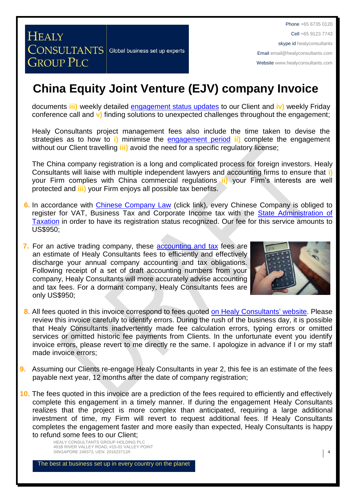## **China Equity Joint Venture (EJV) company Invoice**

documents **iii)** weekly detailed [engagement status updates](http://www.healyconsultants.com/index-important-links/weekly-engagement-status-email/) to our Client and **iv)** weekly Friday conference call and **v)** finding solutions to unexpected challenges throughout the engagement;

Healy Consultants project management fees also include the time taken to devise the strategies as to how to **i)** minimise the [engagement period](http://www.healyconsultants.com/china-company-registration/fees-timelines/) **ii)** complete the engagement without our Client travelling **iii)** avoid the need for a specific regulatory license;

The China company registration is a long and complicated process for foreign investors. Healy Consultants will liaise with multiple independent lawyers and accounting firms to ensure that **i)** your Firm complies with China commercial regulations **ii)** your Firm's interests are well protected and **iii)** your Firm enjoys all possible tax benefits.

- **6.** In accordance with [Chinese Company Law](http://www.china.org.cn/government/laws/2007-06/06/content_1207345.htm) (click link), every Chinese Company is obliged to register for VAT, Business Tax and Corporate Income tax with the [State Administration of](http://www.chinatax.gov.cn/2013/n2925/)  [Taxation](http://www.chinatax.gov.cn/2013/n2925/) in order to have its registration status recognized. Our fee for this service amounts to US\$950;
- **7.** For an active trading company, these [accounting and tax](http://www.healyconsultants.com/china-company-registration/accounting-legal/) fees are an estimate of Healy Consultants fees to efficiently and effectively discharge your annual company accounting and tax obligations. Following receipt of a set of draft accounting numbers from your company, Healy Consultants will more accurately advise accounting and tax fees. For a dormant company, Healy Consultants fees are only US\$950;



- **8.** All fees quoted in this invoice correspond to fees quoted [on Healy Consultants'](http://www.healyconsultants.com/company-registration-fees/) website. Please review this invoice carefully to identify errors. During the rush of the business day, it is possible that Healy Consultants inadvertently made fee calculation errors, typing errors or omitted services or omitted historic fee payments from Clients. In the unfortunate event you identify invoice errors, please revert to me directly re the same. I apologize in advance if I or my staff made invoice errors;
- **9.** Assuming our Clients re-engage Healy Consultants in year 2, this fee is an estimate of the fees payable next year, 12 months after the date of company registration;
- **10.** The fees quoted in this invoice are a prediction of the fees required to efficiently and effectively complete this engagement in a timely manner. If during the engagement Healy Consultants realizes that the project is more complex than anticipated, requiring a large additional investment of time, my Firm will revert to request additional fees. If Healy Consultants completes the engagement faster and more easily than expected, Healy Consultants is happy to refund some fees to our Client;

HEALY CONSULTANTS GROUP HOLDING PLC 491B RIVER VALLEY ROAD, #15-01 VALLEY POINT SINGAPORE 248373, UEN: 201623711R 4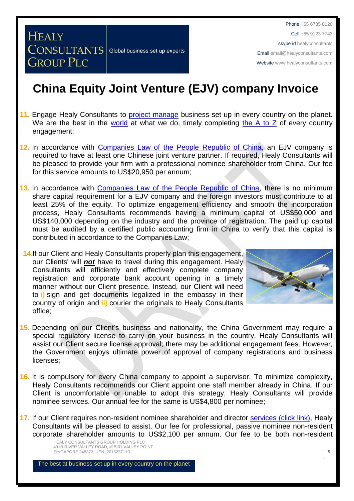Phone +65 6735 0120 Cell +65 9123 7743 skype id healyconsultants Email [email@healyconsultants.com](mailto:EMAIL@HEALYCONSULTANTS.COM) Website [www.healyconsultants.com](http://www.healyconsultants.com/)

### **China Equity Joint Venture (EJV) company Invoice**

- 11. Engage Healy Consultants to [project manage](http://www.healyconsultants.com/project-manage-engagements/) business set up in every country on the planet. We are the best in the [world](http://www.healyconsultants.com/best-in-the-world/) at what we do, timely completing [the A to Z](http://www.healyconsultants.com/a-to-z-of-business-set-up/) of every country engagement;
- **12.** In accordance with Companies Law [of the People Republic of China,](http://www.npc.gov.cn/englishnpc/Law/2007-12/13/content_1384124.htm) an EJV company is required to have at least one Chinese joint venture partner. If required, Healy Consultants will be pleased to provide your firm with a professional nominee shareholder from China. Our fee for this service amounts to US\$20,950 per annum;
- **13.** In accordance with [Companies Law of the People Republic of China,](http://www.npc.gov.cn/englishnpc/Law/2007-12/13/content_1384124.htm) there is no minimum share capital requirement for a EJV company and the foreign investors must contribute to at least 25% of the equity. To optimize engagement efficiency and smooth the incorporation process, Healy Consultants recommends having a minimum capital of US\$50,000 and US\$140,000 depending on the industry and the province of registration. The paid up capital must be audited by a certified public accounting firm in China to verify that this capital is contributed in accordance to the Companies Law;
- **14.**If our Client and Healy Consultants properly plan this engagement, our Clients' will *not* have to travel during this engagement. Healy Consultants will efficiently and effectively complete company registration and corporate bank account opening in a timely manner without our Client presence. Instead, our Client will need to **i)** sign and get documents legalized in the embassy in their country of origin and **ii)** courier the originals to Healy Consultants office;



- **15.** Depending on our Client's business and nationality, the China Government may require a special regulatory license to carry on your business in the country. Healy Consultants will assist our Client secure license approval; there may be additional engagement fees. However, the Government enjoys ultimate power of approval of company registrations and business licenses;
- **16.** It is compulsory for every China company to appoint a supervisor. To minimize complexity, Healy Consultants recommends our Client appoint one staff member already in China. If our Client is uncomfortable or unable to adopt this strategy, Healy Consultants will provide nominee services. Our annual fee for the same is US\$4,800 per nominee;
- 17. If our Client requires non-resident nominee shareholder and director services [\(click link\),](http://www.healyconsultants.com/corporate-outsourcing-services/nominee-shareholders-directors/) Healy Consultants will be pleased to assist. Our fee for professional, passive nominee non-resident corporate shareholder amounts to US\$2,100 per annum. Our fee to be both non-resident

HEALY CONSULTANTS GROUP HOLDING PLC 491B RIVER VALLEY ROAD, #15-01 VALLEY POINT SINGAPORE 248373, UEN: 201623711R **5**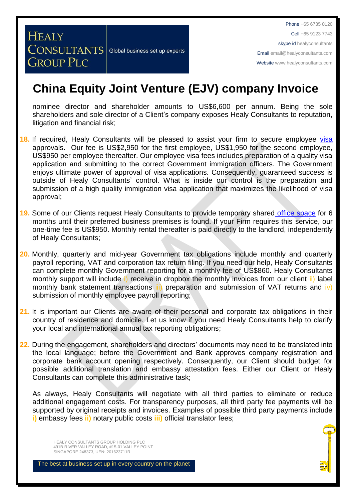Phone +65 6735 0120 Cell +65 9123 7743 skype id healyconsultants Email [email@healyconsultants.com](mailto:EMAIL@HEALYCONSULTANTS.COM) Website [www.healyconsultants.com](http://www.healyconsultants.com/)

### **China Equity Joint Venture (EJV) company Invoice**

nominee director and shareholder amounts to US\$6,600 per annum. Being the sole shareholders and sole director of a Client's company exposes Healy Consultants to reputation, litigation and financial risk;

- **18.** If required, Healy Consultants will be pleased to assist your firm to secure employee [visa](http://www.healyconsultants.com/china-company-registration/formation-support-services/) approvals. Our fee is US\$2,950 for the first employee, US\$1,950 for the second employee, US\$950 per employee thereafter. Our employee visa fees includes preparation of a quality visa application and submitting to the correct Government immigration officers. The Government enjoys ultimate power of approval of visa applications. Consequently, guaranteed success is outside of Healy Consultants' control. What is inside our control is the preparation and submission of a high quality immigration visa application that maximizes the likelihood of visa approval;
- **19.** Some of our Clients request Healy Consultants to provide temporary shared [office space](http://www.healyconsultants.com/virtual-office/) for 6 months until their preferred business premises is found. If your Firm requires this service, our one-time fee is US\$950. Monthly rental thereafter is paid directly to the landlord, independently of Healy Consultants;
- **20.** Monthly, quarterly and mid-year Government tax obligations include monthly and quarterly payroll reporting, VAT and corporation tax return filing. If you need our help, Healy Consultants can complete monthly Government reporting for a monthly fee of US\$860. Healy Consultants monthly support will include i) receive in dropbox the monthly invoices from our client ii) label monthly bank statement transactions iii) preparation and submission of VAT returns and iv) submission of monthly employee payroll reporting;
- **21.** It is important our Clients are aware of their personal and corporate tax obligations in their country of residence and domicile. Let us know if you need Healy Consultants help to clarify your local and international annual tax reporting obligations;
- **22.** During the engagement, shareholders and directors' documents may need to be translated into the local language; before the Government and Bank approves company registration and corporate bank account opening respectively. Consequently, our Client should budget for possible additional translation and embassy attestation fees. Either our Client or Healy Consultants can complete this administrative task;

As always, Healy Consultants will negotiate with all third parties to eliminate or reduce additional engagement costs. For transparency purposes, all third party fee payments will be supported by original receipts and invoices. Examples of possible third party payments include **i)** embassy fees **ii)** notary public costs **iii)** official translator fees;

HEALY CONSULTANTS GROUP HOLDING PLC 491B RIVER VALLEY ROAD, #15-01 VALLEY POINT SINGAPORE 248373, UEN: 201623711R 6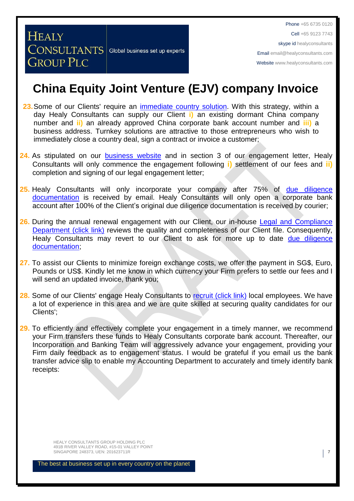### **China Equity Joint Venture (EJV) company Invoice**

- 23. Some of our Clients' require an *immediate country solution*. With this strategy, within a day Healy Consultants can supply our Client **i)** an existing dormant China company number and **ii)** an already approved China corporate bank account number and **iii)** a business address. Turnkey solutions are attractive to those entrepreneurs who wish to immediately close a country deal, sign a contract or invoice a customer;
- 24. As stipulated on our [business website](http://www.healyconsultants.com/) and in section 3 of our engagement letter, Healy Consultants will only commence the engagement following **i)** settlement of our fees and **ii)** completion and signing of our legal engagement letter;
- **25.** Healy Consultants will only incorporate your company after 75% of [due diligence](http://www.healyconsultants.com/due-diligence/)  [documentation](http://www.healyconsultants.com/due-diligence/) is received by email. Healy Consultants will only open a corporate bank account after 100% of the Client's original due diligence documentation is received by courier;
- 26. During the annual renewal engagement with our Client, our in-house Legal and Compliance [Department \(click link\)](http://www.healyconsultants.com/about-us/key-personnel/cai-xin-profile/) reviews the quality and completeness of our Client file. Consequently, Healy Consultants may revert to our Client to ask for more up to date due diligence [documentation;](http://www.healyconsultants.com/due-diligence/)
- **27.** To assist our Clients to minimize foreign exchange costs, we offer the payment in SG\$, Euro, Pounds or US\$. Kindly let me know in which currency your Firm prefers to settle our fees and I will send an updated invoice, thank you;
- 28. Some of our Clients' engage Healy Consultants to [recruit \(click link\)](http://www.healyconsultants.com/corporate-outsourcing-services/how-we-help-our-clients-recruit-quality-employees/) local employees. We have a lot of experience in this area and we are quite skilled at securing quality candidates for our Clients';
- **29.** To efficiently and effectively complete your engagement in a timely manner, we recommend your Firm transfers these funds to Healy Consultants corporate bank account. Thereafter, our Incorporation and Banking Team will aggressively advance your engagement, providing your Firm daily feedback as to engagement status. I would be grateful if you email us the bank transfer advice slip to enable my Accounting Department to accurately and timely identify bank receipts:

HEALY CONSULTANTS GROUP HOLDING PLC 491B RIVER VALLEY ROAD, #15-01 VALLEY POINT SINGAPORE 248373, UEN: 201623711R 7